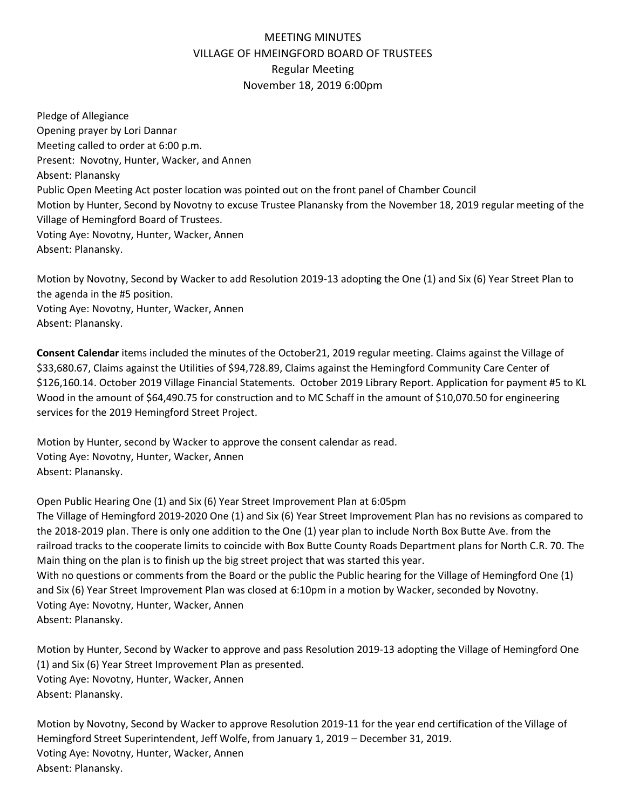## MEETING MINUTES VILLAGE OF HMEINGFORD BOARD OF TRUSTEES Regular Meeting November 18, 2019 6:00pm

Pledge of Allegiance Opening prayer by Lori Dannar Meeting called to order at 6:00 p.m. Present: Novotny, Hunter, Wacker, and Annen Absent: Planansky Public Open Meeting Act poster location was pointed out on the front panel of Chamber Council Motion by Hunter, Second by Novotny to excuse Trustee Planansky from the November 18, 2019 regular meeting of the Village of Hemingford Board of Trustees. Voting Aye: Novotny, Hunter, Wacker, Annen Absent: Planansky.

Motion by Novotny, Second by Wacker to add Resolution 2019-13 adopting the One (1) and Six (6) Year Street Plan to the agenda in the #5 position. Voting Aye: Novotny, Hunter, Wacker, Annen Absent: Planansky.

**Consent Calendar** items included the minutes of the October21, 2019 regular meeting. Claims against the Village of \$33,680.67, Claims against the Utilities of \$94,728.89, Claims against the Hemingford Community Care Center of \$126,160.14. October 2019 Village Financial Statements. October 2019 Library Report. Application for payment #5 to KL Wood in the amount of \$64,490.75 for construction and to MC Schaff in the amount of \$10,070.50 for engineering services for the 2019 Hemingford Street Project.

Motion by Hunter, second by Wacker to approve the consent calendar as read. Voting Aye: Novotny, Hunter, Wacker, Annen Absent: Planansky.

Open Public Hearing One (1) and Six (6) Year Street Improvement Plan at 6:05pm

The Village of Hemingford 2019-2020 One (1) and Six (6) Year Street Improvement Plan has no revisions as compared to the 2018-2019 plan. There is only one addition to the One (1) year plan to include North Box Butte Ave. from the railroad tracks to the cooperate limits to coincide with Box Butte County Roads Department plans for North C.R. 70. The Main thing on the plan is to finish up the big street project that was started this year.

With no questions or comments from the Board or the public the Public hearing for the Village of Hemingford One (1) and Six (6) Year Street Improvement Plan was closed at 6:10pm in a motion by Wacker, seconded by Novotny. Voting Aye: Novotny, Hunter, Wacker, Annen Absent: Planansky.

Motion by Hunter, Second by Wacker to approve and pass Resolution 2019-13 adopting the Village of Hemingford One (1) and Six (6) Year Street Improvement Plan as presented. Voting Aye: Novotny, Hunter, Wacker, Annen Absent: Planansky.

Motion by Novotny, Second by Wacker to approve Resolution 2019-11 for the year end certification of the Village of Hemingford Street Superintendent, Jeff Wolfe, from January 1, 2019 – December 31, 2019. Voting Aye: Novotny, Hunter, Wacker, Annen Absent: Planansky.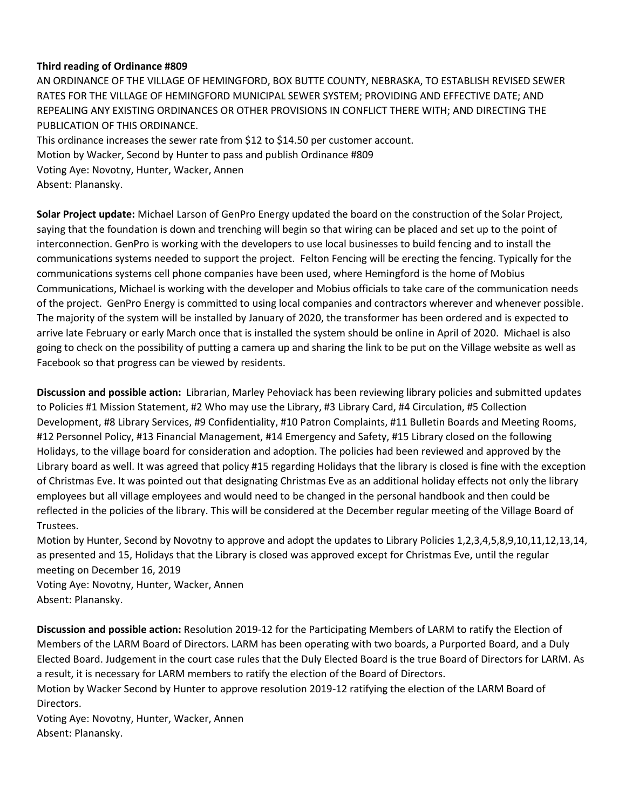## **Third reading of Ordinance #809**

AN ORDINANCE OF THE VILLAGE OF HEMINGFORD, BOX BUTTE COUNTY, NEBRASKA, TO ESTABLISH REVISED SEWER RATES FOR THE VILLAGE OF HEMINGFORD MUNICIPAL SEWER SYSTEM; PROVIDING AND EFFECTIVE DATE; AND REPEALING ANY EXISTING ORDINANCES OR OTHER PROVISIONS IN CONFLICT THERE WITH; AND DIRECTING THE PUBLICATION OF THIS ORDINANCE.

This ordinance increases the sewer rate from \$12 to \$14.50 per customer account. Motion by Wacker, Second by Hunter to pass and publish Ordinance #809 Voting Aye: Novotny, Hunter, Wacker, Annen Absent: Planansky.

**Solar Project update:** Michael Larson of GenPro Energy updated the board on the construction of the Solar Project, saying that the foundation is down and trenching will begin so that wiring can be placed and set up to the point of interconnection. GenPro is working with the developers to use local businesses to build fencing and to install the communications systems needed to support the project. Felton Fencing will be erecting the fencing. Typically for the communications systems cell phone companies have been used, where Hemingford is the home of Mobius Communications, Michael is working with the developer and Mobius officials to take care of the communication needs of the project. GenPro Energy is committed to using local companies and contractors wherever and whenever possible. The majority of the system will be installed by January of 2020, the transformer has been ordered and is expected to arrive late February or early March once that is installed the system should be online in April of 2020. Michael is also going to check on the possibility of putting a camera up and sharing the link to be put on the Village website as well as Facebook so that progress can be viewed by residents.

**Discussion and possible action:** Librarian, Marley Pehoviack has been reviewing library policies and submitted updates to Policies #1 Mission Statement, #2 Who may use the Library, #3 Library Card, #4 Circulation, #5 Collection Development, #8 Library Services, #9 Confidentiality, #10 Patron Complaints, #11 Bulletin Boards and Meeting Rooms, #12 Personnel Policy, #13 Financial Management, #14 Emergency and Safety, #15 Library closed on the following Holidays, to the village board for consideration and adoption. The policies had been reviewed and approved by the Library board as well. It was agreed that policy #15 regarding Holidays that the library is closed is fine with the exception of Christmas Eve. It was pointed out that designating Christmas Eve as an additional holiday effects not only the library employees but all village employees and would need to be changed in the personal handbook and then could be reflected in the policies of the library. This will be considered at the December regular meeting of the Village Board of Trustees.

Motion by Hunter, Second by Novotny to approve and adopt the updates to Library Policies 1,2,3,4,5,8,9,10,11,12,13,14, as presented and 15, Holidays that the Library is closed was approved except for Christmas Eve, until the regular meeting on December 16, 2019

Voting Aye: Novotny, Hunter, Wacker, Annen Absent: Planansky.

**Discussion and possible action:** Resolution 2019-12 for the Participating Members of LARM to ratify the Election of Members of the LARM Board of Directors. LARM has been operating with two boards, a Purported Board, and a Duly Elected Board. Judgement in the court case rules that the Duly Elected Board is the true Board of Directors for LARM. As a result, it is necessary for LARM members to ratify the election of the Board of Directors.

Motion by Wacker Second by Hunter to approve resolution 2019-12 ratifying the election of the LARM Board of Directors.

Voting Aye: Novotny, Hunter, Wacker, Annen Absent: Planansky.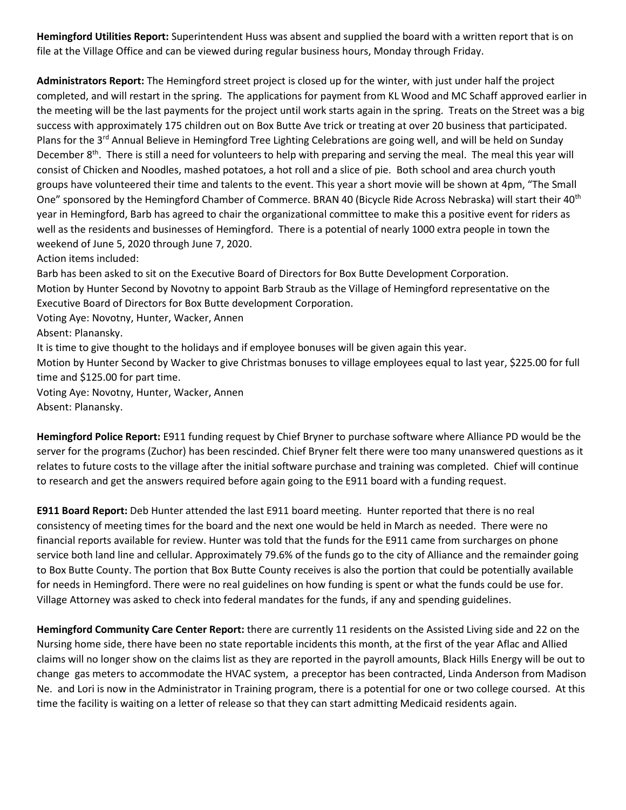**Hemingford Utilities Report:** Superintendent Huss was absent and supplied the board with a written report that is on file at the Village Office and can be viewed during regular business hours, Monday through Friday.

**Administrators Report:** The Hemingford street project is closed up for the winter, with just under half the project completed, and will restart in the spring. The applications for payment from KL Wood and MC Schaff approved earlier in the meeting will be the last payments for the project until work starts again in the spring. Treats on the Street was a big success with approximately 175 children out on Box Butte Ave trick or treating at over 20 business that participated. Plans for the 3<sup>rd</sup> Annual Believe in Hemingford Tree Lighting Celebrations are going well, and will be held on Sunday December 8<sup>th</sup>. There is still a need for volunteers to help with preparing and serving the meal. The meal this year will consist of Chicken and Noodles, mashed potatoes, a hot roll and a slice of pie. Both school and area church youth groups have volunteered their time and talents to the event. This year a short movie will be shown at 4pm, "The Small One" sponsored by the Hemingford Chamber of Commerce. BRAN 40 (Bicycle Ride Across Nebraska) will start their 40th year in Hemingford, Barb has agreed to chair the organizational committee to make this a positive event for riders as well as the residents and businesses of Hemingford. There is a potential of nearly 1000 extra people in town the weekend of June 5, 2020 through June 7, 2020.

Action items included:

Barb has been asked to sit on the Executive Board of Directors for Box Butte Development Corporation. Motion by Hunter Second by Novotny to appoint Barb Straub as the Village of Hemingford representative on the Executive Board of Directors for Box Butte development Corporation.

Voting Aye: Novotny, Hunter, Wacker, Annen

Absent: Planansky.

It is time to give thought to the holidays and if employee bonuses will be given again this year.

Motion by Hunter Second by Wacker to give Christmas bonuses to village employees equal to last year, \$225.00 for full time and \$125.00 for part time.

Voting Aye: Novotny, Hunter, Wacker, Annen Absent: Planansky.

**Hemingford Police Report:** E911 funding request by Chief Bryner to purchase software where Alliance PD would be the server for the programs (Zuchor) has been rescinded. Chief Bryner felt there were too many unanswered questions as it relates to future costs to the village after the initial software purchase and training was completed. Chief will continue to research and get the answers required before again going to the E911 board with a funding request.

**E911 Board Report:** Deb Hunter attended the last E911 board meeting. Hunter reported that there is no real consistency of meeting times for the board and the next one would be held in March as needed. There were no financial reports available for review. Hunter was told that the funds for the E911 came from surcharges on phone service both land line and cellular. Approximately 79.6% of the funds go to the city of Alliance and the remainder going to Box Butte County. The portion that Box Butte County receives is also the portion that could be potentially available for needs in Hemingford. There were no real guidelines on how funding is spent or what the funds could be use for. Village Attorney was asked to check into federal mandates for the funds, if any and spending guidelines.

**Hemingford Community Care Center Report:** there are currently 11 residents on the Assisted Living side and 22 on the Nursing home side, there have been no state reportable incidents this month, at the first of the year Aflac and Allied claims will no longer show on the claims list as they are reported in the payroll amounts, Black Hills Energy will be out to change gas meters to accommodate the HVAC system, a preceptor has been contracted, Linda Anderson from Madison Ne. and Lori is now in the Administrator in Training program, there is a potential for one or two college coursed. At this time the facility is waiting on a letter of release so that they can start admitting Medicaid residents again.